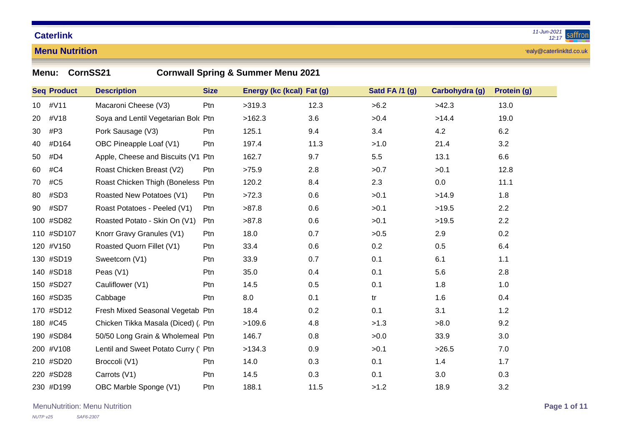#### **Menu Nutrition**

realy@caterlinkltd.co.uk

| Menu:    | CornSS21<br><b>Cornwall Spring &amp; Summer Menu 2021</b> |                                      |             |                           |      |                |                |             |  |  |  |
|----------|-----------------------------------------------------------|--------------------------------------|-------------|---------------------------|------|----------------|----------------|-------------|--|--|--|
|          | <b>Seq Product</b>                                        | <b>Description</b>                   | <b>Size</b> | Energy (kc (kcal) Fat (g) |      | Satd FA /1 (g) | Carbohydra (g) | Protein (g) |  |  |  |
| 10       | #V11                                                      | Macaroni Cheese (V3)                 | Ptn         | >319.3                    | 12.3 | >6.2           | >42.3          | 13.0        |  |  |  |
| 20       | #V18                                                      | Soya and Lentil Vegetarian Bolc Ptn  |             | >162.3                    | 3.6  | >0.4           | >14.4          | 19.0        |  |  |  |
| 30       | #P3                                                       | Pork Sausage (V3)                    | Ptn         | 125.1                     | 9.4  | 3.4            | 4.2            | 6.2         |  |  |  |
| 40       | #D164                                                     | OBC Pineapple Loaf (V1)              | Ptn         | 197.4                     | 11.3 | >1.0           | 21.4           | 3.2         |  |  |  |
| 50       | #D4                                                       | Apple, Cheese and Biscuits (V1       | Ptn         | 162.7                     | 9.7  | 5.5            | 13.1           | 6.6         |  |  |  |
| 60       | #C4                                                       | Roast Chicken Breast (V2)            | Ptn         | >75.9                     | 2.8  | >0.7           | >0.1           | 12.8        |  |  |  |
| 70       | #C5                                                       | Roast Chicken Thigh (Boneless Ptn    |             | 120.2                     | 8.4  | 2.3            | 0.0            | 11.1        |  |  |  |
| 80       | #SD3                                                      | Roasted New Potatoes (V1)            | Ptn         | >72.3                     | 0.6  | >0.1           | >14.9          | 1.8         |  |  |  |
| 90       | #SD7                                                      | Roast Potatoes - Peeled (V1)         | Ptn         | >87.8                     | 0.6  | >0.1           | >19.5          | 2.2         |  |  |  |
|          | 100 #SD82                                                 | Roasted Potato - Skin On (V1)        | Ptn         | >87.8                     | 0.6  | >0.1           | >19.5          | 2.2         |  |  |  |
|          | 110 #SD107                                                | Knorr Gravy Granules (V1)            | Ptn         | 18.0                      | 0.7  | >0.5           | 2.9            | 0.2         |  |  |  |
|          | 120 #V150                                                 | Roasted Quorn Fillet (V1)            | Ptn         | 33.4                      | 0.6  | 0.2            | 0.5            | 6.4         |  |  |  |
|          | 130 #SD19                                                 | Sweetcorn (V1)                       | Ptn         | 33.9                      | 0.7  | 0.1            | 6.1            | 1.1         |  |  |  |
|          | 140 #SD18                                                 | Peas $(V1)$                          | Ptn         | 35.0                      | 0.4  | 0.1            | 5.6            | 2.8         |  |  |  |
|          | 150 #SD27                                                 | Cauliflower (V1)                     | Ptn         | 14.5                      | 0.5  | 0.1            | 1.8            | 1.0         |  |  |  |
|          | 160 #SD35                                                 | Cabbage                              | Ptn         | 8.0                       | 0.1  | tr             | 1.6            | 0.4         |  |  |  |
|          | 170 #SD12                                                 | Fresh Mixed Seasonal Vegetab Ptn     |             | 18.4                      | 0.2  | 0.1            | 3.1            | $1.2$       |  |  |  |
| 180 #C45 |                                                           | Chicken Tikka Masala (Diced) (. Ptn  |             | >109.6                    | 4.8  | >1.3           | >8.0           | 9.2         |  |  |  |
|          | 190 #SD84                                                 | 50/50 Long Grain & Wholemeal Ptn     |             | 146.7                     | 0.8  | >0.0           | 33.9           | 3.0         |  |  |  |
|          | 200 #V108                                                 | Lentil and Sweet Potato Curry (' Ptn |             | >134.3                    | 0.9  | >0.1           | >26.5          | 7.0         |  |  |  |
|          | 210 #SD20                                                 | Broccoli (V1)                        | Ptn         | 14.0                      | 0.3  | 0.1            | 1.4            | 1.7         |  |  |  |
|          | 220 #SD28                                                 | Carrots (V1)                         | Ptn         | 14.5                      | 0.3  | 0.1            | 3.0            | 0.3         |  |  |  |
|          | 230 #D199                                                 | OBC Marble Sponge (V1)               | Ptn         | 188.1                     | 11.5 | >1.2           | 18.9           | 3.2         |  |  |  |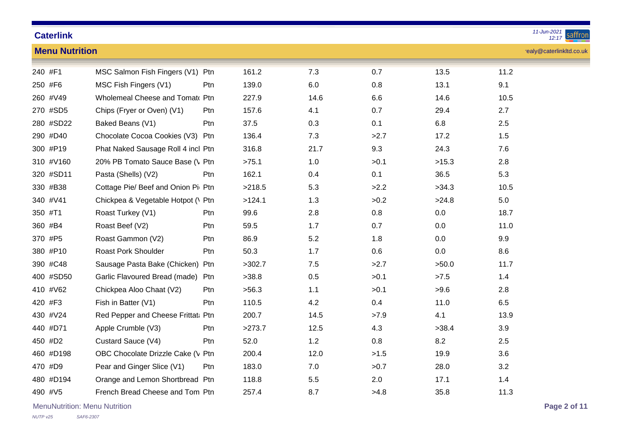| <b>Caterlink</b>      | 11-Jun-2021<br>sattror<br>12:17    |            |        |      |      |       |                          |  |  |
|-----------------------|------------------------------------|------------|--------|------|------|-------|--------------------------|--|--|
| <b>Menu Nutrition</b> |                                    |            |        |      |      |       | realy@caterlinkltd.co.uk |  |  |
| 240 #F1               | MSC Salmon Fish Fingers (V1) Ptn   |            | 161.2  | 7.3  | 0.7  | 13.5  | 11.2                     |  |  |
| 250 #F6               | MSC Fish Fingers (V1)              | Ptn        | 139.0  | 6.0  | 0.8  | 13.1  | 9.1                      |  |  |
| 260 #V49              | Wholemeal Cheese and Tomato Ptn    |            | 227.9  | 14.6 | 6.6  | 14.6  | 10.5                     |  |  |
| 270 #SD5              | Chips (Fryer or Oven) (V1)         | <b>Ptn</b> | 157.6  | 4.1  | 0.7  | 29.4  | 2.7                      |  |  |
| 280 #SD22             | Baked Beans (V1)                   | Ptn        | 37.5   | 0.3  | 0.1  | 6.8   | 2.5                      |  |  |
| 290 #D40              | Chocolate Cocoa Cookies (V3) Ptn   |            | 136.4  | 7.3  | >2.7 | 17.2  | 1.5                      |  |  |
| 300 #P19              | Phat Naked Sausage Roll 4 incl Ptn |            | 316.8  | 21.7 | 9.3  | 24.3  | 7.6                      |  |  |
| 310 #V160             | 20% PB Tomato Sauce Base (\ Ptn    |            | >75.1  | 1.0  | >0.1 | >15.3 | 2.8                      |  |  |
| 320 #SD11             | Pasta (Shells) (V2)                | Ptn        | 162.1  | 0.4  | 0.1  | 36.5  | 5.3                      |  |  |
| 330 #B38              | Cottage Pie/ Beef and Onion Pi Ptn |            | >218.5 | 5.3  | >2.2 | >34.3 | 10.5                     |  |  |
| 340 #V41              | Chickpea & Vegetable Hotpot (\ Ptn |            | >124.1 | 1.3  | >0.2 | >24.8 | 5.0                      |  |  |
| 350 #T1               | Roast Turkey (V1)                  | Ptn        | 99.6   | 2.8  | 0.8  | 0.0   | 18.7                     |  |  |
| 360 #B4               | Roast Beef (V2)                    | Ptn        | 59.5   | 1.7  | 0.7  | 0.0   | 11.0                     |  |  |
| 370 #P5               | Roast Gammon (V2)                  | Ptn        | 86.9   | 5.2  | 1.8  | 0.0   | 9.9                      |  |  |
| 380 #P10              | <b>Roast Pork Shoulder</b>         | Ptn        | 50.3   | 1.7  | 0.6  | 0.0   | 8.6                      |  |  |
| 390 #C48              | Sausage Pasta Bake (Chicken) Ptn   |            | >302.7 | 7.5  | >2.7 | >50.0 | 11.7                     |  |  |
| 400 #SD50             | Garlic Flavoured Bread (made) Ptn  |            | >38.8  | 0.5  | >0.1 | >7.5  | 1.4                      |  |  |
| 410 #V62              | Chickpea Aloo Chaat (V2)           | Ptn        | >56.3  | 1.1  | >0.1 | >9.6  | 2.8                      |  |  |
| 420 #F3               | Fish in Batter (V1)                | Ptn        | 110.5  | 4.2  | 0.4  | 11.0  | 6.5                      |  |  |
| 430 #V24              | Red Pepper and Cheese Frittat: Ptn |            | 200.7  | 14.5 | >7.9 | 4.1   | 13.9                     |  |  |
| 440 #D71              | Apple Crumble (V3)                 | Ptn        | >273.7 | 12.5 | 4.3  | >38.4 | 3.9                      |  |  |
| 450 #D2               | Custard Sauce (V4)                 | Ptn        | 52.0   | 1.2  | 0.8  | 8.2   | 2.5                      |  |  |
| 460 #D198             | OBC Chocolate Drizzle Cake (V Ptn  |            | 200.4  | 12.0 | >1.5 | 19.9  | 3.6                      |  |  |
| 470 #D9               | Pear and Ginger Slice (V1)         | Ptn        | 183.0  | 7.0  | >0.7 | 28.0  | 3.2                      |  |  |
| 480 #D194             | Orange and Lemon Shortbread Ptn    |            | 118.8  | 5.5  | 2.0  | 17.1  | 1.4                      |  |  |
| 490 #V5               | French Bread Cheese and Tom Ptn    |            | 257.4  | 8.7  | >4.8 | 35.8  | 11.3                     |  |  |
|                       |                                    |            |        |      |      |       |                          |  |  |

MenuNutrition: Menu Nutrition **Page 2 of 11**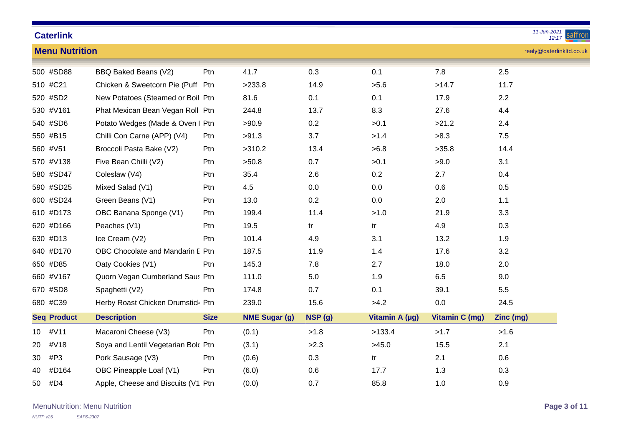|                         | 11-Jun-2021<br><b>Caterlink</b><br>saffron<br>12:17 |             |                      |         |                |                       |                          |  |  |  |
|-------------------------|-----------------------------------------------------|-------------|----------------------|---------|----------------|-----------------------|--------------------------|--|--|--|
| <b>Menu Nutrition</b>   |                                                     |             |                      |         |                |                       | realy@caterlinkltd.co.uk |  |  |  |
| 500 #SD88               | BBQ Baked Beans (V2)                                | Ptn         | 41.7                 | 0.3     | 0.1            | 7.8                   | 2.5                      |  |  |  |
| 510 #C21                | Chicken & Sweetcorn Pie (Puff Ptn                   |             | >233.8               | 14.9    | >5.6           | >14.7                 | 11.7                     |  |  |  |
| 520 #SD2                | New Potatoes (Steamed or Boil Ptn                   |             | 81.6                 | 0.1     | 0.1            | 17.9                  | 2.2                      |  |  |  |
| 530 #V161               | Phat Mexican Bean Vegan Roll Ptn                    |             | 244.8                | 13.7    | 8.3            | 27.6                  | 4.4                      |  |  |  |
| 540 #SD6                | Potato Wedges (Made & Oven I Ptn                    |             | >90.9                | 0.2     | >0.1           | >21.2                 | 2.4                      |  |  |  |
| 550 #B15                | Chilli Con Carne (APP) (V4)                         | Ptn         | >91.3                | 3.7     | >1.4           | >8.3                  | 7.5                      |  |  |  |
| 560 #V51                | Broccoli Pasta Bake (V2)                            | Ptn         | >310.2               | 13.4    | >6.8           | >35.8                 | 14.4                     |  |  |  |
| 570 #V138               | Five Bean Chilli (V2)                               | Ptn         | >50.8                | 0.7     | >0.1           | >9.0                  | 3.1                      |  |  |  |
| 580 #SD47               | Coleslaw (V4)                                       | Ptn         | 35.4                 | 2.6     | 0.2            | 2.7                   | 0.4                      |  |  |  |
| 590 #SD25               | Mixed Salad (V1)                                    | Ptn         | 4.5                  | 0.0     | 0.0            | 0.6                   | 0.5                      |  |  |  |
| 600 #SD24               | Green Beans (V1)                                    | Ptn         | 13.0                 | 0.2     | 0.0            | 2.0                   | 1.1                      |  |  |  |
| 610 #D173               | OBC Banana Sponge (V1)                              | Ptn         | 199.4                | 11.4    | >1.0           | 21.9                  | 3.3                      |  |  |  |
| 620 #D166               | Peaches (V1)                                        | Ptn         | 19.5                 | tr      | tr             | 4.9                   | 0.3                      |  |  |  |
| 630 #D13                | Ice Cream (V2)                                      | Ptn         | 101.4                | 4.9     | 3.1            | 13.2                  | 1.9                      |  |  |  |
| 640 #D170               | OBC Chocolate and Mandarin E Ptn                    |             | 187.5                | 11.9    | 1.4            | 17.6                  | 3.2                      |  |  |  |
| 650 #D85                | Oaty Cookies (V1)                                   | Ptn         | 145.3                | 7.8     | 2.7            | 18.0                  | 2.0                      |  |  |  |
| 660 #V167               | Quorn Vegan Cumberland Saus Ptn                     |             | 111.0                | $5.0\,$ | 1.9            | 6.5                   | 9.0                      |  |  |  |
| 670 #SD8                | Spaghetti (V2)                                      | Ptn         | 174.8                | 0.7     | 0.1            | 39.1                  | 5.5                      |  |  |  |
| 680 #C39                | Herby Roast Chicken Drumstick Ptn                   |             | 239.0                | 15.6    | >4.2           | 0.0                   | 24.5                     |  |  |  |
| <b>Seq Product</b>      | <b>Description</b>                                  | <b>Size</b> | <b>NME Sugar (g)</b> | NSP (g) | Vitamin A (µg) | <b>Vitamin C (mg)</b> | Zinc (mg)                |  |  |  |
| #V11<br>10 <sup>°</sup> | Macaroni Cheese (V3)                                | Ptn         | (0.1)                | >1.8    | >133.4         | >1.7                  | >1.6                     |  |  |  |
| #V18<br>20              | Soya and Lentil Vegetarian Bolc Ptn                 |             | (3.1)                | >2.3    | >45.0          | 15.5                  | 2.1                      |  |  |  |
| #P3<br>30               | Pork Sausage (V3)                                   | Ptn         | (0.6)                | 0.3     | tr             | 2.1                   | 0.6                      |  |  |  |
| #D164<br>40             | OBC Pineapple Loaf (V1)                             | Ptn         | (6.0)                | 0.6     | 17.7           | 1.3                   | 0.3                      |  |  |  |
| #D4<br>50               | Apple, Cheese and Biscuits (V1 Ptn                  |             | (0.0)                | 0.7     | 85.8           | 1.0                   | 0.9                      |  |  |  |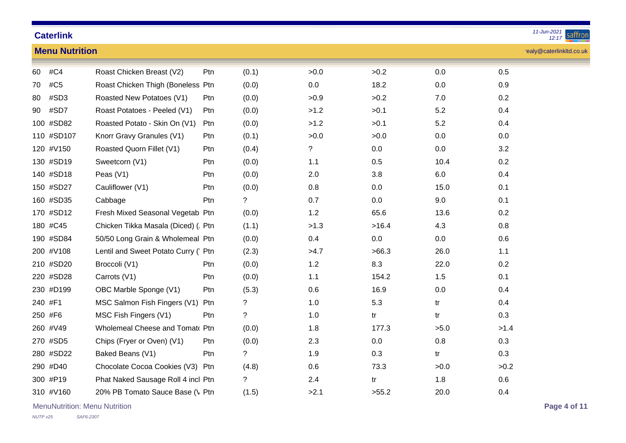|    | 11-Jun-2021<br><b>Caterlink</b><br>sattror<br>12:17 |                                      |            |             |         |       |         |                          |  |  |
|----|-----------------------------------------------------|--------------------------------------|------------|-------------|---------|-------|---------|--------------------------|--|--|
|    | <b>Menu Nutrition</b>                               |                                      |            |             |         |       |         | realy@caterlinkltd.co.uk |  |  |
| 60 | #C4                                                 | Roast Chicken Breast (V2)            | Ptn        | (0.1)       | >0.0    | >0.2  | 0.0     | 0.5                      |  |  |
| 70 | #C5                                                 | Roast Chicken Thigh (Boneless Ptn    |            | (0.0)       | $0.0\,$ | 18.2  | 0.0     | 0.9                      |  |  |
| 80 | #SD3                                                | Roasted New Potatoes (V1)            | <b>Ptn</b> | (0.0)       | >0.9    | >0.2  | 7.0     | 0.2                      |  |  |
| 90 | #SD7                                                | Roast Potatoes - Peeled (V1)         | Ptn        | (0.0)       | >1.2    | >0.1  | 5.2     | 0.4                      |  |  |
|    | 100 #SD82                                           | Roasted Potato - Skin On (V1)        | Ptn        | (0.0)       | >1.2    | >0.1  | 5.2     | 0.4                      |  |  |
|    | 110 #SD107                                          | Knorr Gravy Granules (V1)            | Ptn        | (0.1)       | >0.0    | >0.0  | 0.0     | 0.0                      |  |  |
|    | 120 #V150                                           | Roasted Quorn Fillet (V1)            | Ptn        | (0.4)       | ?       | 0.0   | $0.0\,$ | 3.2                      |  |  |
|    | 130 #SD19                                           | Sweetcorn (V1)                       | Ptn        | (0.0)       | 1.1     | 0.5   | 10.4    | 0.2                      |  |  |
|    | 140 #SD18                                           | Peas $(V1)$                          | Ptn        | (0.0)       | 2.0     | 3.8   | $6.0\,$ | 0.4                      |  |  |
|    | 150 #SD27                                           | Cauliflower (V1)                     | Ptn        | (0.0)       | $0.8\,$ | 0.0   | 15.0    | 0.1                      |  |  |
|    | 160 #SD35                                           | Cabbage                              | Ptn        | ?           | 0.7     | 0.0   | 9.0     | 0.1                      |  |  |
|    | 170 #SD12                                           | Fresh Mixed Seasonal Vegetab Ptn     |            | (0.0)       | 1.2     | 65.6  | 13.6    | 0.2                      |  |  |
|    | 180 #C45                                            | Chicken Tikka Masala (Diced) (. Ptn  |            | (1.1)       | >1.3    | >16.4 | 4.3     | 0.8                      |  |  |
|    | 190 #SD84                                           | 50/50 Long Grain & Wholemeal Ptn     |            | (0.0)       | 0.4     | 0.0   | $0.0\,$ | 0.6                      |  |  |
|    | 200 #V108                                           | Lentil and Sweet Potato Curry (' Ptn |            | (2.3)       | >4.7    | >66.3 | 26.0    | 1.1                      |  |  |
|    | 210 #SD20                                           | Broccoli (V1)                        | Ptn        | (0.0)       | 1.2     | 8.3   | 22.0    | 0.2                      |  |  |
|    | 220 #SD28                                           | Carrots (V1)                         | Ptn        | (0.0)       | 1.1     | 154.2 | 1.5     | 0.1                      |  |  |
|    | 230 #D199                                           | OBC Marble Sponge (V1)               | Ptn        | (5.3)       | 0.6     | 16.9  | 0.0     | 0.4                      |  |  |
|    | 240 #F1                                             | MSC Salmon Fish Fingers (V1) Ptn     |            | ?           | 1.0     | 5.3   | tr      | 0.4                      |  |  |
|    | 250 #F6                                             | MSC Fish Fingers (V1)                | Ptn        | $\tilde{?}$ | $1.0$   | tr    | tr      | 0.3                      |  |  |
|    | 260 #V49                                            | Wholemeal Cheese and Tomato Ptn      |            | (0.0)       | 1.8     | 177.3 | >5.0    | >1.4                     |  |  |
|    | 270 #SD5                                            | Chips (Fryer or Oven) (V1)           | Ptn        | (0.0)       | 2.3     | 0.0   | $0.8\,$ | 0.3                      |  |  |
|    | 280 #SD22                                           | Baked Beans (V1)                     | Ptn        | $\tilde{?}$ | 1.9     | 0.3   | tr      | 0.3                      |  |  |
|    | 290 #D40                                            | Chocolate Cocoa Cookies (V3) Ptn     |            | (4.8)       | 0.6     | 73.3  | >0.0    | >0.2                     |  |  |
|    | 300 #P19                                            | Phat Naked Sausage Roll 4 incl Ptn   |            | ?           | 2.4     | tr    | 1.8     | 0.6                      |  |  |
|    | 310 #V160                                           | 20% PB Tomato Sauce Base (\ Ptn      |            | (1.5)       | >2.1    | >55.2 | 20.0    | 0.4                      |  |  |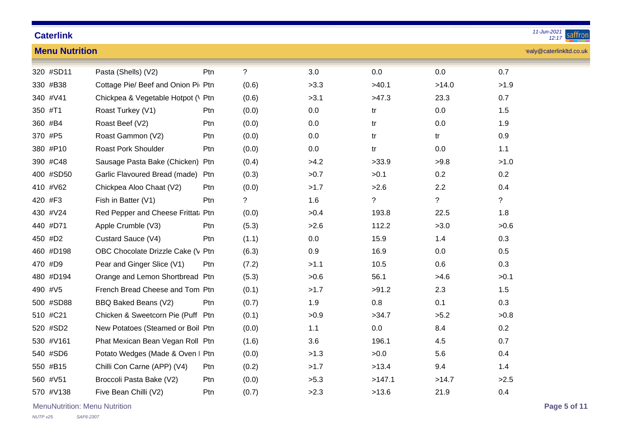| <b>Caterlink</b>      |                                    |            |             |      |        |                | 11-Jun-2021<br>saffron<br>12:17 |
|-----------------------|------------------------------------|------------|-------------|------|--------|----------------|---------------------------------|
| <b>Menu Nutrition</b> |                                    |            |             |      |        |                | realy@caterlinkltd.co.uk        |
| 320 #SD11             | Pasta (Shells) (V2)                | Ptn        | $\tilde{?}$ | 3.0  | 0.0    | 0.0            | 0.7                             |
| 330 #B38              | Cottage Pie/ Beef and Onion Pi Ptn |            | (0.6)       | >3.3 | >40.1  | >14.0          | >1.9                            |
| 340 #V41              | Chickpea & Vegetable Hotpot (\ Ptn |            | (0.6)       | >3.1 | >47.3  | 23.3           | 0.7                             |
| 350 #T1               | Roast Turkey (V1)                  | Ptn        | (0.0)       | 0.0  | tr     | 0.0            | 1.5                             |
| 360 #B4               | Roast Beef (V2)                    | Ptn        | (0.0)       | 0.0  | tr     | $0.0\,$        | 1.9                             |
| 370 #P5               | Roast Gammon (V2)                  | Ptn        | (0.0)       | 0.0  | tr     | tr             | 0.9                             |
| 380 #P10              | Roast Pork Shoulder                | Ptn        | (0.0)       | 0.0  | tr     | $0.0\,$        | 1.1                             |
| 390 #C48              | Sausage Pasta Bake (Chicken) Ptn   |            | (0.4)       | >4.2 | >33.9  | >9.8           | >1.0                            |
| 400 #SD50             | Garlic Flavoured Bread (made)      | Ptn        | (0.3)       | >0.7 | >0.1   | 0.2            | 0.2                             |
| 410 #V62              | Chickpea Aloo Chaat (V2)           | Ptn        | (0.0)       | >1.7 | >2.6   | 2.2            | 0.4                             |
| 420 #F3               | Fish in Batter (V1)                | Ptn        | $\ddot{?}$  | 1.6  | ?      | $\overline{?}$ | $\overline{?}$                  |
| 430 #V24              | Red Pepper and Cheese Frittat: Ptn |            | (0.0)       | >0.4 | 193.8  | 22.5           | 1.8                             |
| 440 #D71              | Apple Crumble (V3)                 | Ptn        | (5.3)       | >2.6 | 112.2  | >3.0           | >0.6                            |
| 450 #D2               | Custard Sauce (V4)                 | Ptn        | (1.1)       | 0.0  | 15.9   | 1.4            | 0.3                             |
| 460 #D198             | OBC Chocolate Drizzle Cake (V Ptn  |            | (6.3)       | 0.9  | 16.9   | 0.0            | 0.5                             |
| 470 #D9               | Pear and Ginger Slice (V1)         | Ptn        | (7.2)       | >1.1 | 10.5   | 0.6            | 0.3                             |
| 480 #D194             | Orange and Lemon Shortbread Ptn    |            | (5.3)       | >0.6 | 56.1   | >4.6           | >0.1                            |
| 490 #V5               | French Bread Cheese and Tom Ptn    |            | (0.1)       | >1.7 | >91.2  | 2.3            | 1.5                             |
| 500 #SD88             | BBQ Baked Beans (V2)               | Ptn        | (0.7)       | 1.9  | 0.8    | 0.1            | 0.3                             |
| 510 #C21              | Chicken & Sweetcorn Pie (Puff Ptn  |            | (0.1)       | >0.9 | >34.7  | >5.2           | >0.8                            |
| 520 #SD2              | New Potatoes (Steamed or Boil Ptn  |            | (0.0)       | 1.1  | 0.0    | 8.4            | 0.2                             |
| 530 #V161             | Phat Mexican Bean Vegan Roll Ptn   |            | (1.6)       | 3.6  | 196.1  | 4.5            | 0.7                             |
| 540 #SD6              | Potato Wedges (Made & Oven I Ptn   |            | (0.0)       | >1.3 | >0.0   | 5.6            | 0.4                             |
| 550 #B15              | Chilli Con Carne (APP) (V4)        | <b>Ptn</b> | (0.2)       | >1.7 | >13.4  | 9.4            | 1.4                             |
| 560 #V51              | Broccoli Pasta Bake (V2)           | Ptn        | (0.0)       | >5.3 | >147.1 | >14.7          | >2.5                            |
| 570 #V138             | Five Bean Chilli (V2)              | Ptn        | (0.7)       | >2.3 | >13.6  | 21.9           | 0.4                             |

MenuNutrition: Menu Nutrition **Page 5 of 11**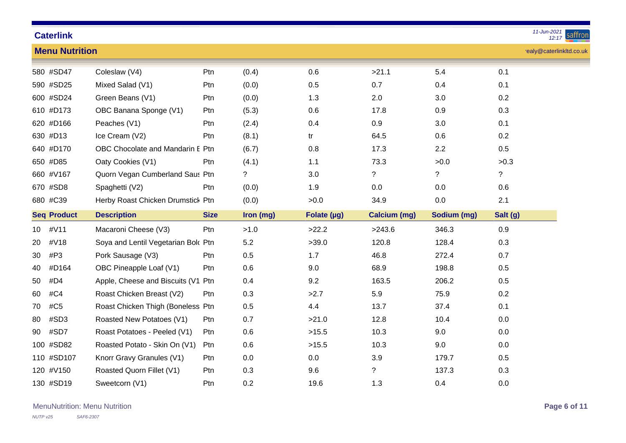|    | 11-Jun-2021<br><b>Caterlink</b><br>saffron<br>12:17 |                                     |             |           |             |                     |                |                |                          |  |
|----|-----------------------------------------------------|-------------------------------------|-------------|-----------|-------------|---------------------|----------------|----------------|--------------------------|--|
|    | <b>Menu Nutrition</b>                               |                                     |             |           |             |                     |                |                | realy@caterlinkltd.co.uk |  |
|    | 580 #SD47                                           | Coleslaw (V4)                       | Ptn         | (0.4)     | 0.6         | >21.1               | 5.4            | 0.1            |                          |  |
|    | 590 #SD25                                           | Mixed Salad (V1)                    | Ptn         | (0.0)     | 0.5         | 0.7                 | 0.4            | 0.1            |                          |  |
|    | 600 #SD24                                           | Green Beans (V1)                    | Ptn         | (0.0)     | 1.3         | 2.0                 | 3.0            | 0.2            |                          |  |
|    | 610 #D173                                           | OBC Banana Sponge (V1)              | Ptn         | (5.3)     | 0.6         | 17.8                | 0.9            | 0.3            |                          |  |
|    | 620 #D166                                           | Peaches (V1)                        | Ptn         | (2.4)     | 0.4         | 0.9                 | 3.0            | 0.1            |                          |  |
|    | 630 #D13                                            | Ice Cream (V2)                      | Ptn         | (8.1)     | tr          | 64.5                | 0.6            | 0.2            |                          |  |
|    | 640 #D170                                           | OBC Chocolate and Mandarin E Ptn    |             | (6.7)     | 0.8         | 17.3                | 2.2            | 0.5            |                          |  |
|    | 650 #D85                                            | Oaty Cookies (V1)                   | Ptn         | (4.1)     | 1.1         | 73.3                | >0.0           | >0.3           |                          |  |
|    | 660 #V167                                           | Quorn Vegan Cumberland Saus Ptn     |             | ?         | $3.0\,$     | $\tilde{?}$         | $\overline{?}$ | $\overline{?}$ |                          |  |
|    | 670 #SD8                                            | Spaghetti (V2)                      | Ptn         | (0.0)     | 1.9         | 0.0                 | 0.0            | 0.6            |                          |  |
|    | 680 #C39                                            | Herby Roast Chicken Drumstick Ptn   |             | (0.0)     | >0.0        | 34.9                | 0.0            | 2.1            |                          |  |
|    | <b>Seq Product</b>                                  | <b>Description</b>                  | <b>Size</b> | Iron (mg) | Folate (µg) | <b>Calcium (mg)</b> | Sodium (mg)    | Salt (g)       |                          |  |
| 10 | #V11                                                | Macaroni Cheese (V3)                | Ptn         | >1.0      | >22.2       | >243.6              | 346.3          | 0.9            |                          |  |
| 20 | #V18                                                | Soya and Lentil Vegetarian Bolc Ptn |             | 5.2       | >39.0       | 120.8               | 128.4          | 0.3            |                          |  |
| 30 | #P3                                                 | Pork Sausage (V3)                   | Ptn         | 0.5       | 1.7         | 46.8                | 272.4          | 0.7            |                          |  |
| 40 | #D164                                               | OBC Pineapple Loaf (V1)             | Ptn         | 0.6       | 9.0         | 68.9                | 198.8          | 0.5            |                          |  |
| 50 | #D4                                                 | Apple, Cheese and Biscuits (V1 Ptn  |             | 0.4       | 9.2         | 163.5               | 206.2          | 0.5            |                          |  |
| 60 | #C4                                                 | Roast Chicken Breast (V2)           | Ptn         | 0.3       | >2.7        | 5.9                 | 75.9           | 0.2            |                          |  |
| 70 | #C5                                                 | Roast Chicken Thigh (Boneless Ptn   |             | 0.5       | 4.4         | 13.7                | 37.4           | 0.1            |                          |  |
| 80 | #SD3                                                | Roasted New Potatoes (V1)           | Ptn         | 0.7       | >21.0       | 12.8                | 10.4           | 0.0            |                          |  |
| 90 | #SD7                                                | Roast Potatoes - Peeled (V1)        | Ptn         | 0.6       | >15.5       | 10.3                | 9.0            | 0.0            |                          |  |
|    | 100 #SD82                                           | Roasted Potato - Skin On (V1)       | Ptn         | 0.6       | >15.5       | 10.3                | 9.0            | 0.0            |                          |  |
|    | 110 #SD107                                          | Knorr Gravy Granules (V1)           | Ptn         | $0.0\,$   | $0.0\,$     | 3.9                 | 179.7          | 0.5            |                          |  |
|    | 120 #V150                                           | Roasted Quorn Fillet (V1)           | Ptn         | 0.3       | 9.6         | $\tilde{?}$         | 137.3          | 0.3            |                          |  |
|    | 130 #SD19                                           | Sweetcorn (V1)                      | Ptn         | 0.2       | 19.6        | 1.3                 | 0.4            | 0.0            |                          |  |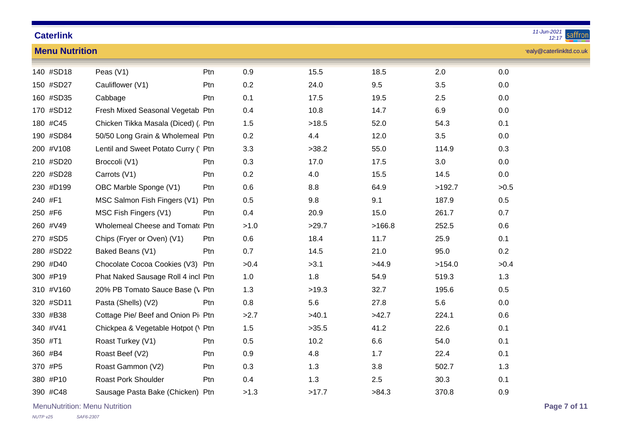| <b>Caterlink</b> |  |
|------------------|--|

| <b>Menu Nutrition</b> | realy@caterlinkltd.co.uk             |     |      |       |        |        |      |  |  |  |  |
|-----------------------|--------------------------------------|-----|------|-------|--------|--------|------|--|--|--|--|
| 140 #SD18             | Peas (V1)                            | Ptn | 0.9  | 15.5  | 18.5   | 2.0    | 0.0  |  |  |  |  |
| 150 #SD27             | Cauliflower (V1)                     | Ptn | 0.2  | 24.0  | 9.5    | 3.5    | 0.0  |  |  |  |  |
| 160 #SD35             | Cabbage                              | Ptn | 0.1  | 17.5  | 19.5   | 2.5    | 0.0  |  |  |  |  |
| 170 #SD12             | Fresh Mixed Seasonal Vegetab Ptn     |     | 0.4  | 10.8  | 14.7   | 6.9    | 0.0  |  |  |  |  |
| 180 #C45              | Chicken Tikka Masala (Diced) (. Ptn  |     | 1.5  | >18.5 | 52.0   | 54.3   | 0.1  |  |  |  |  |
| 190 #SD84             | 50/50 Long Grain & Wholemeal Ptn     |     | 0.2  | 4.4   | 12.0   | 3.5    | 0.0  |  |  |  |  |
| 200 #V108             | Lentil and Sweet Potato Curry (' Ptn |     | 3.3  | >38.2 | 55.0   | 114.9  | 0.3  |  |  |  |  |
| 210 #SD20             | Broccoli (V1)                        | Ptn | 0.3  | 17.0  | 17.5   | 3.0    | 0.0  |  |  |  |  |
| 220 #SD28             | Carrots (V1)                         | Ptn | 0.2  | 4.0   | 15.5   | 14.5   | 0.0  |  |  |  |  |
| 230 #D199             | OBC Marble Sponge (V1)               | Ptn | 0.6  | 8.8   | 64.9   | >192.7 | >0.5 |  |  |  |  |
| 240 #F1               | MSC Salmon Fish Fingers (V1)         | Ptn | 0.5  | 9.8   | 9.1    | 187.9  | 0.5  |  |  |  |  |
| 250 #F6               | MSC Fish Fingers (V1)                | Ptn | 0.4  | 20.9  | 15.0   | 261.7  | 0.7  |  |  |  |  |
| 260 #V49              | Wholemeal Cheese and Tomato Ptn      |     | >1.0 | >29.7 | >166.8 | 252.5  | 0.6  |  |  |  |  |
| 270 #SD5              | Chips (Fryer or Oven) (V1)           | Ptn | 0.6  | 18.4  | 11.7   | 25.9   | 0.1  |  |  |  |  |
| 280 #SD22             | Baked Beans (V1)                     | Ptn | 0.7  | 14.5  | 21.0   | 95.0   | 0.2  |  |  |  |  |
| 290 #D40              | Chocolate Cocoa Cookies (V3) Ptn     |     | >0.4 | >3.1  | >44.9  | >154.0 | >0.4 |  |  |  |  |
| 300 #P19              | Phat Naked Sausage Roll 4 incl Ptn   |     | 1.0  | 1.8   | 54.9   | 519.3  | 1.3  |  |  |  |  |
| 310 #V160             | 20% PB Tomato Sauce Base (\ Ptn      |     | 1.3  | >19.3 | 32.7   | 195.6  | 0.5  |  |  |  |  |
| 320 #SD11             | Pasta (Shells) (V2)                  | Ptn | 0.8  | 5.6   | 27.8   | 5.6    | 0.0  |  |  |  |  |
| 330 #B38              | Cottage Pie/ Beef and Onion Pi Ptn   |     | >2.7 | >40.1 | >42.7  | 224.1  | 0.6  |  |  |  |  |
| 340 #V41              | Chickpea & Vegetable Hotpot (\ Ptn   |     | 1.5  | >35.5 | 41.2   | 22.6   | 0.1  |  |  |  |  |
| 350 #T1               | Roast Turkey (V1)                    | Ptn | 0.5  | 10.2  | 6.6    | 54.0   | 0.1  |  |  |  |  |
| 360 #B4               | Roast Beef (V2)                      | Ptn | 0.9  | 4.8   | 1.7    | 22.4   | 0.1  |  |  |  |  |
| 370 #P5               | Roast Gammon (V2)                    | Ptn | 0.3  | 1.3   | 3.8    | 502.7  | 1.3  |  |  |  |  |
| 380 #P10              | <b>Roast Pork Shoulder</b>           | Ptn | 0.4  | 1.3   | 2.5    | 30.3   | 0.1  |  |  |  |  |
| 390 #C48              | Sausage Pasta Bake (Chicken) Ptn     |     | >1.3 | >17.7 | >84.3  | 370.8  | 0.9  |  |  |  |  |

MenuNutrition: Menu Nutrition **Page 7 of 11**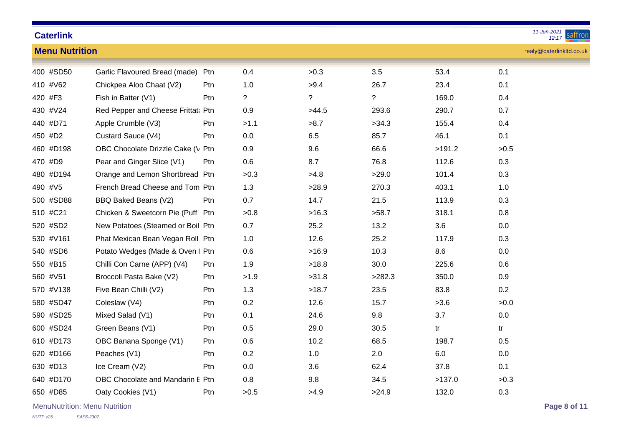| <b>Caterlink</b>      |                                    |            |             |             |        |        | 11-Jun-2021<br>saffron<br>12:17 |
|-----------------------|------------------------------------|------------|-------------|-------------|--------|--------|---------------------------------|
| <b>Menu Nutrition</b> |                                    |            |             |             |        |        | realy@caterlinkltd.co.uk        |
| 400 #SD50             | Garlic Flavoured Bread (made)      | Ptn        | 0.4         | >0.3        | 3.5    | 53.4   | 0.1                             |
| 410 #V62              | Chickpea Aloo Chaat (V2)           | <b>Ptn</b> | 1.0         | >9.4        | 26.7   | 23.4   | 0.1                             |
| 420 #F3               | Fish in Batter (V1)                | Ptn        | $\tilde{?}$ | $\tilde{?}$ | ?      | 169.0  | 0.4                             |
| 430 #V24              | Red Pepper and Cheese Frittat: Ptn |            | 0.9         | >44.5       | 293.6  | 290.7  | 0.7                             |
| 440 #D71              | Apple Crumble (V3)                 | <b>Ptn</b> | >1.1        | >8.7        | >34.3  | 155.4  | 0.4                             |
| 450 #D2               | Custard Sauce (V4)                 | Ptn        | 0.0         | 6.5         | 85.7   | 46.1   | 0.1                             |
| 460 #D198             | OBC Chocolate Drizzle Cake (V Ptn  |            | 0.9         | 9.6         | 66.6   | >191.2 | >0.5                            |
| 470 #D9               | Pear and Ginger Slice (V1)         | Ptn        | 0.6         | 8.7         | 76.8   | 112.6  | 0.3                             |
| 480 #D194             | Orange and Lemon Shortbread Ptn    |            | >0.3        | >4.8        | >29.0  | 101.4  | 0.3                             |
| 490 #V5               | French Bread Cheese and Tom Ptn    |            | 1.3         | >28.9       | 270.3  | 403.1  | 1.0                             |
| 500 #SD88             | BBQ Baked Beans (V2)               | Ptn        | 0.7         | 14.7        | 21.5   | 113.9  | 0.3                             |
| 510 #C21              | Chicken & Sweetcorn Pie (Puff Ptn  |            | >0.8        | >16.3       | >58.7  | 318.1  | 0.8                             |
| 520 #SD2              | New Potatoes (Steamed or Boil Ptn  |            | 0.7         | 25.2        | 13.2   | 3.6    | 0.0                             |
| 530 #V161             | Phat Mexican Bean Vegan Roll Ptn   |            | 1.0         | 12.6        | 25.2   | 117.9  | 0.3                             |
| 540 #SD6              | Potato Wedges (Made & Oven I Ptn   |            | 0.6         | >16.9       | 10.3   | 8.6    | 0.0                             |
| 550 #B15              | Chilli Con Carne (APP) (V4)        | Ptn        | 1.9         | >18.8       | 30.0   | 225.6  | 0.6                             |
| 560 #V51              | Broccoli Pasta Bake (V2)           | Ptn        | >1.9        | >31.8       | >282.3 | 350.0  | 0.9                             |
| 570 #V138             | Five Bean Chilli (V2)              | Ptn        | 1.3         | >18.7       | 23.5   | 83.8   | 0.2                             |
| 580 #SD47             | Coleslaw (V4)                      | <b>Ptn</b> | 0.2         | 12.6        | 15.7   | >3.6   | >0.0                            |
| 590 #SD25             | Mixed Salad (V1)                   | Ptn        | 0.1         | 24.6        | 9.8    | 3.7    | 0.0                             |
| 600 #SD24             | Green Beans (V1)                   | Ptn        | 0.5         | 29.0        | 30.5   | tr     | tr                              |
| 610 #D173             | OBC Banana Sponge (V1)             | Ptn        | 0.6         | 10.2        | 68.5   | 198.7  | 0.5                             |
| 620 #D166             | Peaches (V1)                       | Ptn        | 0.2         | 1.0         | 2.0    | 6.0    | 0.0                             |
| 630 #D13              | Ice Cream (V2)                     | <b>Ptn</b> | 0.0         | 3.6         | 62.4   | 37.8   | 0.1                             |
| 640 #D170             | OBC Chocolate and Mandarin E Ptn   |            | 0.8         | 9.8         | 34.5   | >137.0 | >0.3                            |
| 650 #D85              | Oaty Cookies (V1)                  | Ptn        | >0.5        | >4.9        | >24.9  | 132.0  | 0.3                             |

MenuNutrition: Menu Nutrition **Page 8 of 11**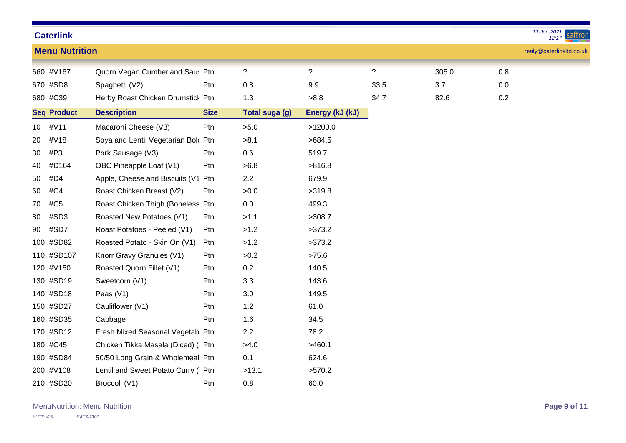*12:17 11-Jun-2021*

|                 |                       |                                      |             |                       |                 |             |       |     | . <u>.</u>               |
|-----------------|-----------------------|--------------------------------------|-------------|-----------------------|-----------------|-------------|-------|-----|--------------------------|
|                 | <b>Menu Nutrition</b> |                                      |             |                       |                 |             |       |     | realy@caterlinkltd.co.uk |
|                 | 660 #V167             | Quorn Vegan Cumberland Saus Ptn      |             | $\overline{?}$        | $\ddot{?}$      | $\tilde{?}$ | 305.0 | 0.8 |                          |
|                 | 670 #SD8              | Spaghetti (V2)                       | Ptn         | 0.8                   | 9.9             | 33.5        | 3.7   | 0.0 |                          |
|                 | 680 #C39              | Herby Roast Chicken Drumstick Ptn    |             | 1.3                   | >8.8            | 34.7        | 82.6  | 0.2 |                          |
|                 | <b>Seq Product</b>    | <b>Description</b>                   | <b>Size</b> | <b>Total suga (g)</b> | Energy (kJ (kJ) |             |       |     |                          |
| 10 <sup>°</sup> | #V11                  | Macaroni Cheese (V3)                 | Ptn         | >5.0                  | >1200.0         |             |       |     |                          |
| 20              | #V18                  | Soya and Lentil Vegetarian Bolc Ptn  |             | >8.1                  | >684.5          |             |       |     |                          |
| 30              | #P3                   | Pork Sausage (V3)                    | Ptn         | 0.6                   | 519.7           |             |       |     |                          |
| 40              | #D164                 | OBC Pineapple Loaf (V1)              | Ptn         | >6.8                  | >816.8          |             |       |     |                          |
| 50              | #D4                   | Apple, Cheese and Biscuits (V1 Ptn   |             | 2.2                   | 679.9           |             |       |     |                          |
| 60              | #C4                   | Roast Chicken Breast (V2)            | Ptn         | >0.0                  | >319.8          |             |       |     |                          |
| 70              | #C5                   | Roast Chicken Thigh (Boneless Ptn    |             | 0.0                   | 499.3           |             |       |     |                          |
| 80              | #SD3                  | Roasted New Potatoes (V1)            | Ptn         | >1.1                  | >308.7          |             |       |     |                          |
| 90              | #SD7                  | Roast Potatoes - Peeled (V1)         | Ptn         | >1.2                  | >373.2          |             |       |     |                          |
|                 | 100 #SD82             | Roasted Potato - Skin On (V1)        | Ptn         | >1.2                  | >373.2          |             |       |     |                          |
|                 | 110 #SD107            | Knorr Gravy Granules (V1)            | Ptn         | >0.2                  | >75.6           |             |       |     |                          |
|                 | 120 #V150             | Roasted Quorn Fillet (V1)            | Ptn         | 0.2                   | 140.5           |             |       |     |                          |
|                 | 130 #SD19             | Sweetcorn (V1)                       | Ptn         | 3.3                   | 143.6           |             |       |     |                          |
|                 | 140 #SD18             | Peas $(V1)$                          | Ptn         | 3.0                   | 149.5           |             |       |     |                          |
|                 | 150 #SD27             | Cauliflower (V1)                     | Ptn         | 1.2                   | 61.0            |             |       |     |                          |
|                 | 160 #SD35             | Cabbage                              | Ptn         | 1.6                   | 34.5            |             |       |     |                          |
|                 | 170 #SD12             | Fresh Mixed Seasonal Vegetab Ptn     |             | 2.2                   | 78.2            |             |       |     |                          |
|                 | 180 #C45              | Chicken Tikka Masala (Diced) (. Ptn  |             | >4.0                  | >460.1          |             |       |     |                          |
|                 | 190 #SD84             | 50/50 Long Grain & Wholemeal Ptn     |             | 0.1                   | 624.6           |             |       |     |                          |
|                 | 200 #V108             | Lentil and Sweet Potato Curry (' Ptn |             | >13.1                 | >570.2          |             |       |     |                          |
|                 | 210 #SD20             | Broccoli (V1)                        | Ptn         | 0.8                   | 60.0            |             |       |     |                          |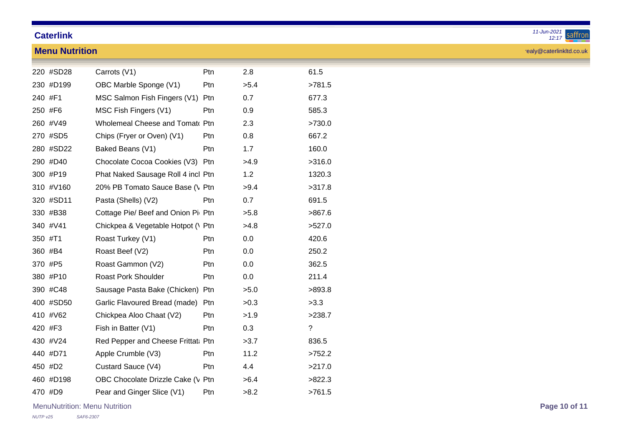**Menu Nutrition**

|                      | Ptn        | 2.8  | 61.5   |
|----------------------|------------|------|--------|
| oonge (V1)           | Ptn        | >5.4 | >781.5 |
| ish Fingers (V1) Ptn |            | 0.7  | 677.3  |
| ers (V1)             | <b>Ptn</b> | 0.9  | 585.3  |
| eese and Tomat‹ Ptn  |            | 2.3  | >730.0 |
| MVen) (V1)           | Ptn        | በ ጸ  | 667 2  |

realy@caterlinkltd.co.uk

|         | 220 #SD28 | Carrots (V1)                          | Ptn             | 2.8  | 61.5        |
|---------|-----------|---------------------------------------|-----------------|------|-------------|
|         | 230 #D199 | OBC Marble Sponge (V1)                | Ptn             | >5.4 | >781.5      |
| 240 #F1 |           | MSC Salmon Fish Fingers (V1) Ptn      |                 | 0.7  | 677.3       |
|         | 250 #F6   | MSC Fish Fingers (V1)                 | <b>Ptn</b>      | 0.9  | 585.3       |
|         | 260 #V49  | <b>Wholemeal Cheese and Tomat Ptn</b> |                 | 2.3  | >730.0      |
|         | 270 #SD5  | Chips (Fryer or Oven) (V1)            | Ptn             | 0.8  | 667.2       |
|         | 280 #SD22 | Baked Beans (V1)                      | <b>Ptn</b>      | 1.7  | 160.0       |
|         | 290 #D40  | Chocolate Cocoa Cookies (V3) Ptn      |                 | >4.9 | >316.0      |
|         | 300 #P19  | Phat Naked Sausage Roll 4 incl Ptn    |                 | 1.2  | 1320.3      |
|         | 310 #V160 | 20% PB Tomato Sauce Base (\ Ptn       |                 | >9.4 | >317.8      |
|         | 320 #SD11 | Pasta (Shells) (V2)                   | <b>Ptn</b>      | 0.7  | 691.5       |
|         | 330 #B38  | Cottage Pie/ Beef and Onion Pil Ptn   |                 | >5.8 | >867.6      |
|         | 340 #V41  | Chickpea & Vegetable Hotpot (\ Ptn    |                 | >4.8 | >527.0      |
| 350 #T1 |           | Roast Turkey (V1)                     | Ptn             | 0.0  | 420.6       |
|         | 360 #B4   | Roast Beef (V2)                       | P <sub>tn</sub> | 0.0  | 250.2       |
|         | 370 #P5   | Roast Gammon (V2)                     | Ptn             | 0.0  | 362.5       |
|         | 380 #P10  | <b>Roast Pork Shoulder</b>            | Ptn             | 0.0  | 211.4       |
|         | 390 #C48  | Sausage Pasta Bake (Chicken) Ptn      |                 | >5.0 | >893.8      |
|         | 400 #SD50 | Garlic Flavoured Bread (made) Ptn     |                 | >0.3 | >3.3        |
|         | 410 #V62  | Chickpea Aloo Chaat (V2)              | P <sub>tn</sub> | >1.9 | >238.7      |
|         | 420 #F3   | Fish in Batter (V1)                   | Ptn             | 0.3  | $\tilde{?}$ |
|         | 430 #V24  | Red Pepper and Cheese Frittat: Ptn    |                 | >3.7 | 836.5       |
|         | 440 #D71  | Apple Crumble (V3)                    | P <sub>tn</sub> | 11.2 | >752.2      |
|         | 450 #D2   | Custard Sauce (V4)                    | Ptn             | 4.4  | >217.0      |
|         | 460 #D198 | OBC Chocolate Drizzle Cake (V Ptn     |                 | >6.4 | >822.3      |
|         | 470 #D9   | Pear and Ginger Slice (V1)            | Ptn             | >8.2 | >761.5      |

MenuNutrition: Menu Nutrition **Page 10 of 11**